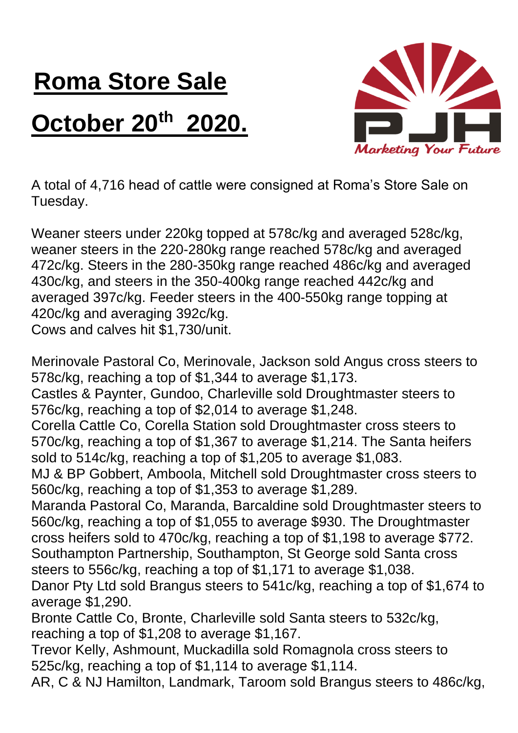## **Roma Store Sale October 20th 2020.**



A total of 4,716 head of cattle were consigned at Roma's Store Sale on Tuesday.

Weaner steers under 220kg topped at 578c/kg and averaged 528c/kg, weaner steers in the 220-280kg range reached 578c/kg and averaged 472c/kg. Steers in the 280-350kg range reached 486c/kg and averaged 430c/kg, and steers in the 350-400kg range reached 442c/kg and averaged 397c/kg. Feeder steers in the 400-550kg range topping at 420c/kg and averaging 392c/kg.

Cows and calves hit \$1,730/unit.

Merinovale Pastoral Co, Merinovale, Jackson sold Angus cross steers to 578c/kg, reaching a top of \$1,344 to average \$1,173.

Castles & Paynter, Gundoo, Charleville sold Droughtmaster steers to 576c/kg, reaching a top of \$2,014 to average \$1,248.

Corella Cattle Co, Corella Station sold Droughtmaster cross steers to 570c/kg, reaching a top of \$1,367 to average \$1,214. The Santa heifers sold to 514c/kg, reaching a top of \$1,205 to average \$1,083.

MJ & BP Gobbert, Amboola, Mitchell sold Droughtmaster cross steers to 560c/kg, reaching a top of \$1,353 to average \$1,289.

Maranda Pastoral Co, Maranda, Barcaldine sold Droughtmaster steers to 560c/kg, reaching a top of \$1,055 to average \$930. The Droughtmaster cross heifers sold to 470c/kg, reaching a top of \$1,198 to average \$772. Southampton Partnership, Southampton, St George sold Santa cross steers to 556c/kg, reaching a top of \$1,171 to average \$1,038.

Danor Pty Ltd sold Brangus steers to 541c/kg, reaching a top of \$1,674 to average \$1,290.

Bronte Cattle Co, Bronte, Charleville sold Santa steers to 532c/kg, reaching a top of \$1,208 to average \$1,167.

Trevor Kelly, Ashmount, Muckadilla sold Romagnola cross steers to 525c/kg, reaching a top of \$1,114 to average \$1,114.

AR, C & NJ Hamilton, Landmark, Taroom sold Brangus steers to 486c/kg,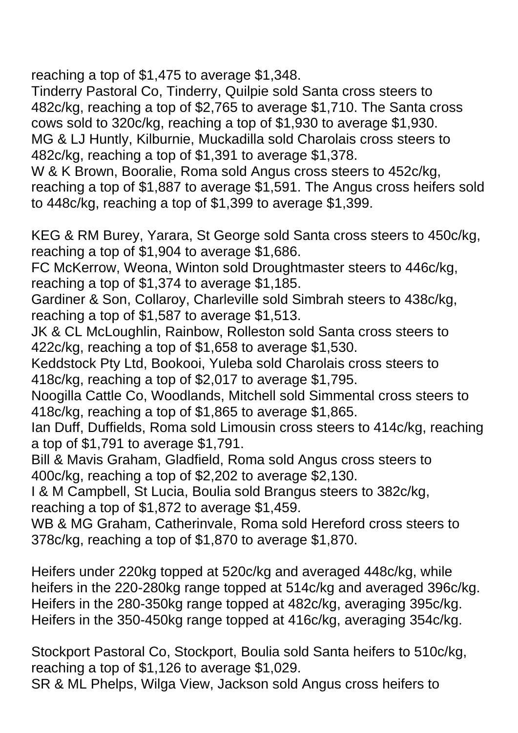reaching a top of \$1,475 to average \$1,348.

Tinderry Pastoral Co, Tinderry, Quilpie sold Santa cross steers to 482c/kg, reaching a top of \$2,765 to average \$1,710. The Santa cross cows sold to 320c/kg, reaching a top of \$1,930 to average \$1,930. MG & LJ Huntly, Kilburnie, Muckadilla sold Charolais cross steers to 482c/kg, reaching a top of \$1,391 to average \$1,378.

W & K Brown, Booralie, Roma sold Angus cross steers to 452c/kg, reaching a top of \$1,887 to average \$1,591. The Angus cross heifers sold to 448c/kg, reaching a top of \$1,399 to average \$1,399.

KEG & RM Burey, Yarara, St George sold Santa cross steers to 450c/kg, reaching a top of \$1,904 to average \$1,686.

FC McKerrow, Weona, Winton sold Droughtmaster steers to 446c/kg, reaching a top of \$1,374 to average \$1,185.

Gardiner & Son, Collaroy, Charleville sold Simbrah steers to 438c/kg, reaching a top of \$1,587 to average \$1,513.

JK & CL McLoughlin, Rainbow, Rolleston sold Santa cross steers to 422c/kg, reaching a top of \$1,658 to average \$1,530.

Keddstock Pty Ltd, Bookooi, Yuleba sold Charolais cross steers to 418c/kg, reaching a top of \$2,017 to average \$1,795.

Noogilla Cattle Co, Woodlands, Mitchell sold Simmental cross steers to 418c/kg, reaching a top of \$1,865 to average \$1,865.

Ian Duff, Duffields, Roma sold Limousin cross steers to 414c/kg, reaching a top of \$1,791 to average \$1,791.

Bill & Mavis Graham, Gladfield, Roma sold Angus cross steers to 400c/kg, reaching a top of \$2,202 to average \$2,130.

I & M Campbell, St Lucia, Boulia sold Brangus steers to 382c/kg, reaching a top of \$1,872 to average \$1,459.

WB & MG Graham, Catherinvale, Roma sold Hereford cross steers to 378c/kg, reaching a top of \$1,870 to average \$1,870.

Heifers under 220kg topped at 520c/kg and averaged 448c/kg, while heifers in the 220-280kg range topped at 514c/kg and averaged 396c/kg. Heifers in the 280-350kg range topped at 482c/kg, averaging 395c/kg. Heifers in the 350-450kg range topped at 416c/kg, averaging 354c/kg.

Stockport Pastoral Co, Stockport, Boulia sold Santa heifers to 510c/kg, reaching a top of \$1,126 to average \$1,029.

SR & ML Phelps, Wilga View, Jackson sold Angus cross heifers to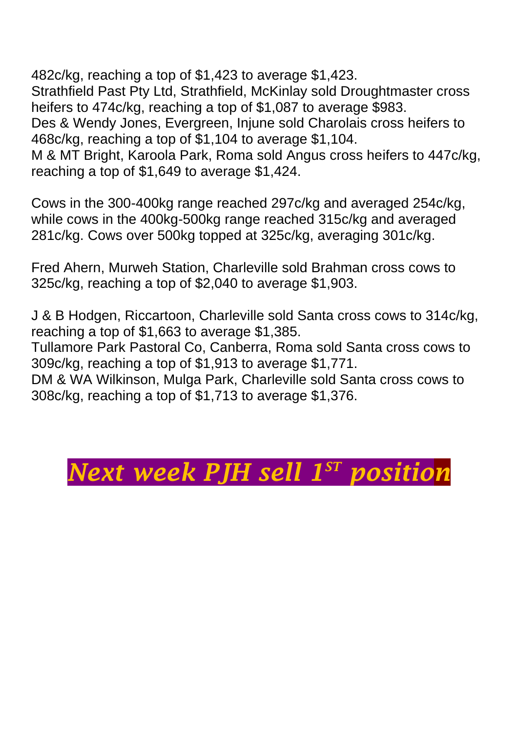482c/kg, reaching a top of \$1,423 to average \$1,423. Strathfield Past Pty Ltd, Strathfield, McKinlay sold Droughtmaster cross heifers to 474c/kg, reaching a top of \$1,087 to average \$983. Des & Wendy Jones, Evergreen, Injune sold Charolais cross heifers to

468c/kg, reaching a top of \$1,104 to average \$1,104.

M & MT Bright, Karoola Park, Roma sold Angus cross heifers to 447c/kg, reaching a top of \$1,649 to average \$1,424.

Cows in the 300-400kg range reached 297c/kg and averaged 254c/kg, while cows in the 400kg-500kg range reached 315c/kg and averaged 281c/kg. Cows over 500kg topped at 325c/kg, averaging 301c/kg.

Fred Ahern, Murweh Station, Charleville sold Brahman cross cows to 325c/kg, reaching a top of \$2,040 to average \$1,903.

J & B Hodgen, Riccartoon, Charleville sold Santa cross cows to 314c/kg, reaching a top of \$1,663 to average \$1,385.

Tullamore Park Pastoral Co, Canberra, Roma sold Santa cross cows to 309c/kg, reaching a top of \$1,913 to average \$1,771.

DM & WA Wilkinson, Mulga Park, Charleville sold Santa cross cows to 308c/kg, reaching a top of \$1,713 to average \$1,376.

## *Next week PJH sell 1<sup>sr</sup> position*